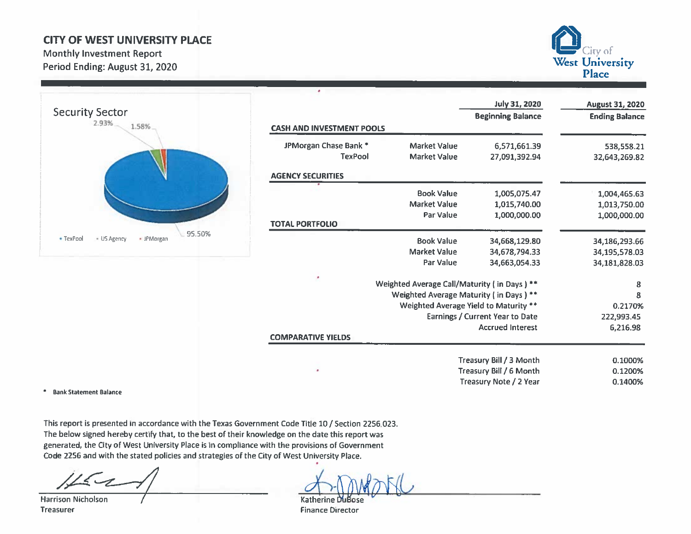## **CITY OF WEST UNIVERSITY PLACE**

**Monthly Investment Report** Period Ending: August 31, 2020



|                                  | <b>Security Sector</b><br>2.93% | 1.58%      |        |
|----------------------------------|---------------------------------|------------|--------|
|                                  |                                 |            |        |
| $\overline{\phantom{a}}$ TexPool | = US Agency                     | - JPMorgan | 95.50% |

|                                  |                                             | <b>July 31, 2020</b>                   | August 31, 2020       |
|----------------------------------|---------------------------------------------|----------------------------------------|-----------------------|
|                                  |                                             | <b>Beginning Balance</b>               | <b>Ending Balance</b> |
| <b>CASH AND INVESTMENT POOLS</b> |                                             |                                        |                       |
| JPMorgan Chase Bank *            | <b>Market Value</b>                         | 6,571,661.39                           | 538,558.21            |
| <b>TexPool</b>                   | <b>Market Value</b>                         | 27,091,392.94                          | 32,643,269.82         |
| <b>AGENCY SECURITIES</b>         |                                             |                                        |                       |
|                                  | <b>Book Value</b>                           | 1,005,075.47                           | 1,004,465.63          |
|                                  | <b>Market Value</b>                         | 1,015,740.00                           | 1,013,750.00          |
|                                  | <b>Par Value</b>                            | 1,000,000.00                           | 1,000,000.00          |
| <b>TOTAL PORTFOLIO</b>           |                                             |                                        |                       |
|                                  | <b>Book Value</b>                           | 34,668,129.80                          | 34,186,293.66         |
|                                  | <b>Market Value</b>                         | 34,678,794.33                          | 34,195,578.03         |
|                                  | Par Value                                   | 34,663,054.33                          | 34,181,828.03         |
|                                  | Weighted Average Call/Maturity (in Days) ** |                                        | 8                     |
|                                  | Weighted Average Maturity (in Days) **      |                                        | 8                     |
|                                  |                                             | Weighted Average Yield to Maturity **  | 0.2170%               |
|                                  |                                             | <b>Earnings / Current Year to Date</b> | 222,993.45            |
|                                  |                                             | <b>Accrued Interest</b>                | 6,216.98              |
| <b>COMPARATIVE YIELDS</b>        |                                             |                                        |                       |
|                                  |                                             | Treasury Bill / 3 Month                | 0.1000%               |
|                                  |                                             | Treasury Bill / 6 Month                | 0.1200%               |
|                                  |                                             | Treasury Note / 2 Year                 | 0.1400%               |

\* Bank Statement Balance

This report is presented in accordance with the Texas Government Code Title 10 / Section 2256.023. The below signed hereby certify that, to the best of their knowledge on the date this report was generated, the City of West University Place is in compliance with the provisions of Government Code 2256 and with the stated policies and strategies of the City of West University Place.

**Harrison Nicholson** Treasurer

Katherine Dubose

**Finance Director**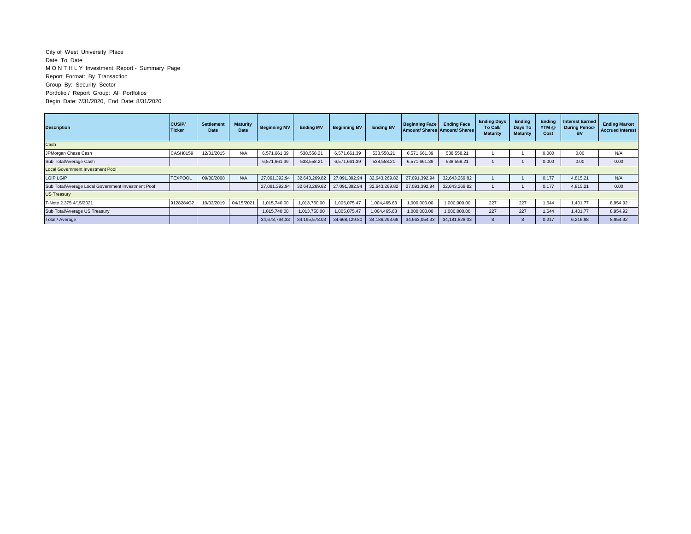## City of West University Place Date To Date M O N T H L Y Investment Report - Summary Page Report Format: By Transaction Group By: Security Sector Portfolio / Report Group: All Portfolios Begin Date: 7/31/2020, End Date: 8/31/2020

| <b>Description</b>                                 | <b>CUSIP/</b><br><b>Ticker</b> | <b>Settlement</b><br><b>Date</b> | <b>Maturity</b><br>Date | <b>Beginning MV</b> | <b>Ending MV</b> | <b>Beginning BV</b> | <b>Ending BV</b> | <b>Beginning Face</b> | <b>Ending Face</b><br>Amount/ Shares Amount/ Shares | <b>Ending Days</b><br>To Call/<br><b>Maturity</b> | Ending<br>Days To<br><b>Maturity</b> | Ending<br>YTM @<br>Cost | <b>Interest Earned</b><br><b>During Period-</b><br><b>BV</b> | <b>Ending Market</b><br><b>Accrued Interest</b> |
|----------------------------------------------------|--------------------------------|----------------------------------|-------------------------|---------------------|------------------|---------------------|------------------|-----------------------|-----------------------------------------------------|---------------------------------------------------|--------------------------------------|-------------------------|--------------------------------------------------------------|-------------------------------------------------|
| Cash                                               |                                |                                  |                         |                     |                  |                     |                  |                       |                                                     |                                                   |                                      |                         |                                                              |                                                 |
| JPMorgan Chase Cash                                | <b>CASH8159</b>                | 12/31/2015                       | N/A                     | 6.571.661.39        | 538,558.21       | 6.571.661.39        | 538,558.21       | 6.571.661.39          | 538,558.21                                          |                                                   |                                      | 0.000                   | 0.00                                                         | N/A                                             |
| Sub Total/Average Cash                             |                                |                                  |                         | 6,571,661.39        | 538,558.21       | 6,571,661.39        | 538,558.21       | 6,571,661.39          | 538,558.21                                          |                                                   |                                      | 0.000                   | 0.00                                                         | 0.00                                            |
| <b>Local Government Investment Pool</b>            |                                |                                  |                         |                     |                  |                     |                  |                       |                                                     |                                                   |                                      |                         |                                                              |                                                 |
| <b>LGIP LGIP</b>                                   | <b>TEXPOOL</b>                 | 09/30/2008                       | N/A                     | 27,091,392.94       | 32,643,269.82    | 27,091,392.94       | 32,643,269.82    | 27,091,392.94         | 32,643,269.82                                       |                                                   |                                      | 0.177                   | 4,815.21                                                     | N/A                                             |
| Sub Total/Average Local Government Investment Pool |                                |                                  |                         | 27,091,392.94       | 32,643,269.82    | 27,091,392.94       | 32,643,269.82    | 27,091,392.94         | 32,643,269.82                                       |                                                   |                                      | 0.177                   | 4,815.21                                                     | 0.00                                            |
| <b>US Treasury</b>                                 |                                |                                  |                         |                     |                  |                     |                  |                       |                                                     |                                                   |                                      |                         |                                                              |                                                 |
| T-Note 2.375 4/15/2021                             | 9128284G2                      | 10/02/2019                       | 04/15/2021              | 1.015.740.00        | 1.013.750.00     | 1,005,075.47        | 1.004.465.63     | 1,000,000.00          | 1.000.000.00                                        | 227                                               | 227                                  | 1.644                   | 1,401.77                                                     | 8,954.92                                        |
| Sub Total/Average US Treasury                      |                                |                                  |                         | 1,015,740.00        | 1,013,750.00     | 1,005,075.47        | 1,004,465.63     | 1,000,000.00          | 1,000,000.00                                        | 227                                               | 227                                  | 1.644                   | 1,401.77                                                     | 8,954.92                                        |
| Total / Average                                    |                                |                                  |                         | 34.678.794.33       | 34,195,578.03    | 34,668,129.80       | 34, 186, 293.66  | 34,663,054.33         | 34, 181, 828.03                                     |                                                   |                                      | 0.217                   | 6,216.98                                                     | 8,954.92                                        |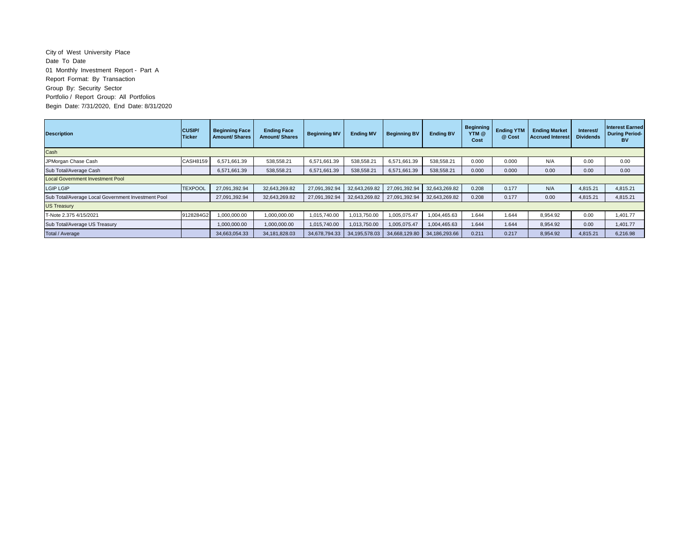## City of West University Place Date To Date 01 Monthly Investment Report - Part A Report Format: By Transaction Group By: Security Sector Portfolio / Report Group: All Portfolios Begin Date: 7/31/2020, End Date: 8/31/2020

| <b>Description</b>                                 | <b>CUSIP/</b><br><b>Ticker</b> | <b>Beginning Face</b><br><b>Amount/ Shares</b> | <b>Ending Face</b><br><b>Amount/ Shares</b> | <b>Beginning MV</b> | <b>Ending MV</b> | <b>Beginning BV</b> | <b>Ending BV</b> | <b>Beginning</b><br>YTM @<br>Cost | <b>Ending YTM</b><br>@ Cost | <b>Ending Market</b><br><b>Accrued Interest</b> | Interest/<br><b>Dividends</b> | <b>Interest Earned</b><br><b>During Period-</b><br>BV |
|----------------------------------------------------|--------------------------------|------------------------------------------------|---------------------------------------------|---------------------|------------------|---------------------|------------------|-----------------------------------|-----------------------------|-------------------------------------------------|-------------------------------|-------------------------------------------------------|
| Cash                                               |                                |                                                |                                             |                     |                  |                     |                  |                                   |                             |                                                 |                               |                                                       |
| JPMorgan Chase Cash                                | <b>CASH8159</b>                | 6.571.661.39                                   | 538,558.21                                  | 6,571,661.39        | 538,558.21       | 6.571.661.39        | 538,558.21       | 0.000                             | 0.000                       | N/A                                             | 0.00                          | 0.00                                                  |
| Sub Total/Average Cash                             |                                | 6,571,661.39                                   | 538,558.21                                  | 6,571,661.39        | 538,558.21       | 6,571,661.39        | 538,558.21       | 0.000                             | 0.000                       | 0.00                                            | 0.00                          | 0.00                                                  |
| <b>Local Government Investment Pool</b>            |                                |                                                |                                             |                     |                  |                     |                  |                                   |                             |                                                 |                               |                                                       |
| <b>LGIP LGIP</b>                                   | <b>TEXPOOL</b>                 | 27,091,392.94                                  | 32,643,269.82                               | 27,091,392.94       | 32,643,269.82    | 27,091,392.94       | 32,643,269.82    | 0.208                             | 0.177                       | N/A                                             | 4,815.21                      | 4,815.21                                              |
| Sub Total/Average Local Government Investment Pool |                                | 27,091,392.94                                  | 32,643,269.82                               | 27,091,392.94       | 32,643,269.82    | 27,091,392.94       | 32,643,269.82    | 0.208                             | 0.177                       | 0.00                                            | 4,815.21                      | 4,815.21                                              |
| <b>US Treasury</b>                                 |                                |                                                |                                             |                     |                  |                     |                  |                                   |                             |                                                 |                               |                                                       |
| T-Note 2.375 4/15/2021                             | 9128284G2                      | 1,000,000.00                                   | 1,000,000.00                                | 1,015,740.00        | 1,013,750.00     | 1,005,075.47        | 1,004,465.63     | 1.644                             | 1.644                       | 8,954.92                                        | 0.00                          | 1,401.77                                              |
| Sub Total/Average US Treasury                      |                                | 1,000,000.00                                   | 1,000,000.00                                | 1,015,740.00        | 1,013,750.00     | 1,005,075.47        | 1,004,465.63     | 1.644                             | 1.644                       | 8,954.92                                        | 0.00                          | 1,401.77                                              |
| Total / Average                                    |                                | 34,663,054.33                                  | 34, 181, 828.03                             | 34.678.794.33       | 34,195,578.03    | 34,668,129.80       | 34,186,293.66    | 0.211                             | 0.217                       | 8,954.92                                        | 4,815.21                      | 6,216.98                                              |